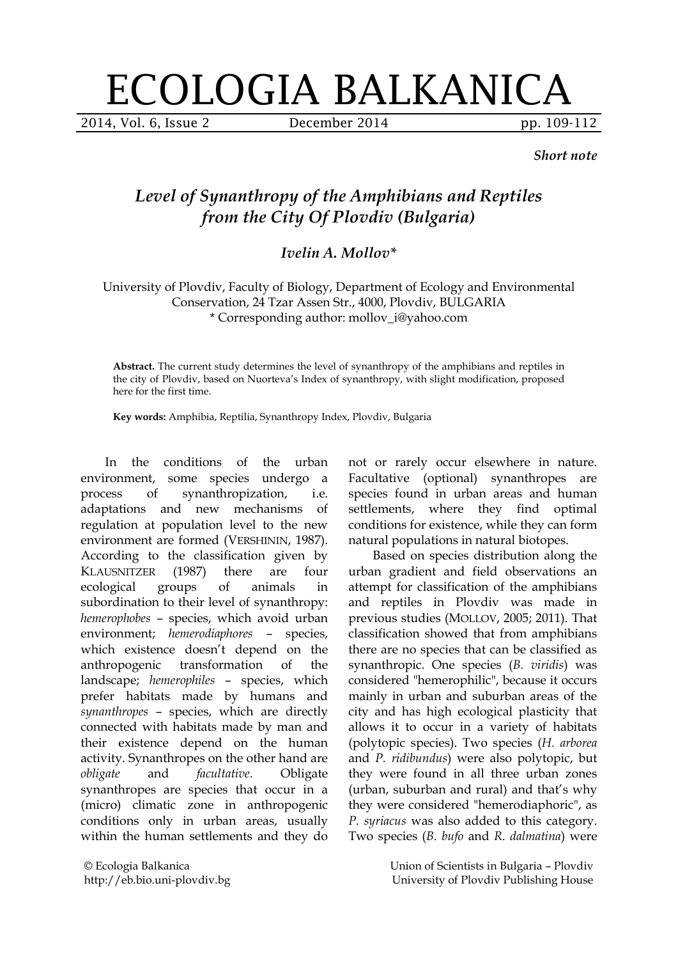## ECOLOGIA BALKANICA

2014, Vol. 6, Issue 2 December 2014 pp. 109-112

*Short note*

## *Level of Synanthropy of the Amphibians and Reptiles from the City Of Plovdiv (Bulgaria)*

## *Ivelin A. Mollov\**

University of Plovdiv, Faculty of Biology, Department of Ecology and Environmental Conservation, 24 Tzar Assen Str., 4000, Plovdiv, BULGARIA \* Corresponding author: mollov\_i@yahoo.com

**Abstract.** The current study determines the level of synanthropy of the amphibians and reptiles in the city of Plovdiv, based on Nuorteva's Index of synanthropy, with slight modification, proposed here for the first time.

**Key words:** Amphibia, Reptilia, Synanthropy Index, Plovdiv, Bulgaria

In the conditions of the urban environment, some species undergo a process of synanthropization, i.e. adaptations and new mechanisms of regulation at population level to the new environment are formed (VERSHININ, 1987). According to the classification given by KLAUSNITZER (1987) there are four ecological groups of animals in subordination to their level of synanthropy: *hemerophobes* – species, which avoid urban environment; *hemerodiaphores* – species, which existence doesn't depend on the anthropogenic transformation of the landscape; *hemerophiles* – species, which prefer habitats made by humans and *synanthropes* – species, which are directly connected with habitats made by man and their existence depend on the human activity. Synanthropes on the other hand are *obligate* and *facultative*. Obligate synanthropes are species that occur in a (micro) climatic zone in anthropogenic conditions only in urban areas, usually within the human settlements and they do

© Ecologia Balkanica http://eb.bio.uni-plovdiv.bg not or rarely occur elsewhere in nature. Facultative (optional) synanthropes are species found in urban areas and human settlements, where they find optimal conditions for existence, while they can form natural populations in natural biotopes.

Based on species distribution along the urban gradient and field observations an attempt for classification of the amphibians and reptiles in Plovdiv was made in previous studies (MOLLOV, 2005; 2011). That classification showed that from amphibians there are no species that can be classified as synanthropic. One species (*B. viridis*) was considered "hemerophilic", because it occurs mainly in urban and suburban areas of the city and has high ecological plasticity that allows it to occur in a variety of habitats (polytopic species). Two species (*H. arborea* and *P. ridibundus*) were also polytopic, but they were found in all three urban zones (urban, suburban and rural) and that's why they were considered "hemerodiaphoric", as *P. syriacus* was also added to this category. Two species (*B. bufo* and *R. dalmatina*) were

> Union of Scientists in Bulgaria – Plovdiv University of Plovdiv Publishing House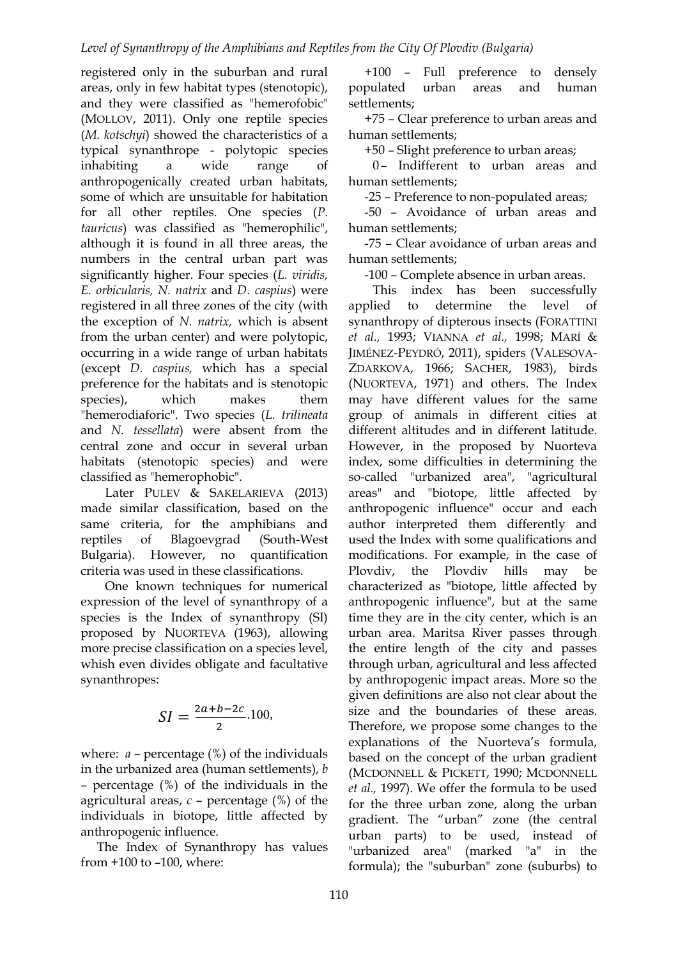registered only in the suburban and rural areas, only in few habitat types (stenotopic), and they were classified as "hemerofobic" (MOLLOV, 2011). Only one reptile species (*M. kotschyi*) showed the characteristics of a typical synanthrope - polytopic species inhabiting a wide range of anthropogenically created urban habitats, some of which are unsuitable for habitation for all other reptiles. One species (*P. tauricus*) was classified as "hemerophilic", although it is found in all three areas, the numbers in the central urban part was significantly higher. Four species (*L. viridis, E. orbicularis, N. natrix* and *D. caspius*) were registered in all three zones of the city (with the exception of *N. natrix,* which is absent from the urban center) and were polytopic, occurring in a wide range of urban habitats (except *D. caspius,* which has a special preference for the habitats and is stenotopic species), which makes them "hemerodiaforic". Two species (*L. trilineata* and *N. tessellata*) were absent from the central zone and occur in several urban habitats (stenotopic species) and were classified as "hemerophobic".

Later PULEV & SAKELARIEVA (2013) made similar classification, based on the same criteria, for the amphibians and reptiles of Blagoevgrad (South-West Bulgaria). However, no quantification criteria was used in these classifications.

One known techniques for numerical expression of the level of synanthropy of a species is the Index of synanthropy (SI) proposed by NUORTEVA (1963), allowing more precise classification on a species level, whish even divides obligate and facultative synanthropes:

$$
SI = \frac{2a+b-2c}{2}.100,
$$

where:  $a$  – percentage (%) of the individuals in the urbanized area (human settlements), *b* – percentage (%) of the individuals in the agricultural areas, *с* – percentage (%) of the individuals in biotope, little affected by anthropogenic influence.

 The Index of Synanthropy has values from +100 to –100, where:

 +100 – Full preference to densely populated urban areas and human settlements;

 +75 – Clear preference to urban areas and human settlements;

+50 – Slight preference to urban areas;

0- Indifferent to urban areas and human settlements;

-25 – Preference to non-populated areas;

 -50 – Avoidance of urban areas and human settlements;

-75 – Clear avoidance of urban areas and human settlements;

-100 – Complete absence in urban areas.

This index has been successfully applied to determine the level of synanthropy of dipterous insects (FORATTINI *et al.,* 1993; VIANNA *et al.,* 1998; MARÍ & JIMÉNEZ-PEYDRÓ, 2011), spiders (VALESOVA-ZDARKOVA, 1966; SACHER, 1983), birds (NUORTEVA, 1971) and others. The Index may have different values for the same group of animals in different cities at different altitudes and in different latitude. However, in the proposed by Nuorteva index, some difficulties in determining the so-called "urbanized area", "agricultural areas" and "biotope, little affected by anthropogenic influence" occur and each author interpreted them differently and used the Index with some qualifications and modifications. For example, in the case of Plovdiv, the Plovdiv hills may be characterized as "biotope, little affected by anthropogenic influence", but at the same time they are in the city center, which is an urban area. Maritsa River passes through the entire length of the city and passes through urban, agricultural and less affected by anthropogenic impact areas. More so the given definitions are also not clear about the size and the boundaries of these areas. Therefore, we propose some changes to the explanations of the Nuorteva's formula, based on the concept of the urban gradient (MCDONNELL & PICKETT, 1990; MCDONNELL *et al.,* 1997). We offer the formula to be used for the three urban zone, along the urban gradient. The "urban" zone (the central urban parts) to be used, instead of "urbanized area" (marked "a" in the formula); the "suburban" zone (suburbs) to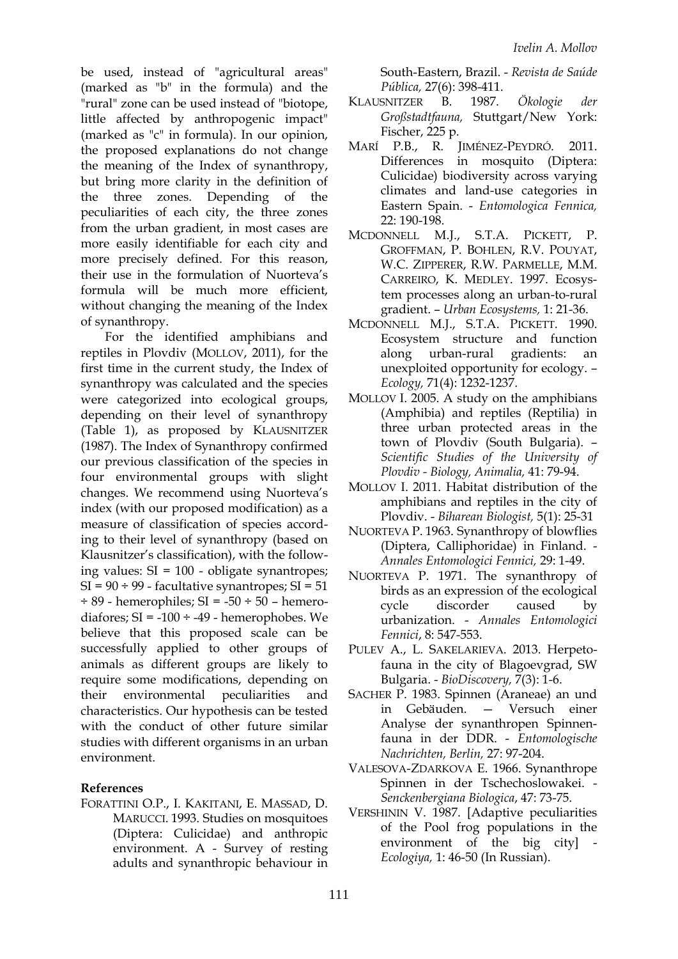be used, instead of "agricultural areas" (marked as "b" in the formula) and the "rural" zone can be used instead of "biotope, little affected by anthropogenic impact" (marked as "c" in formula). In our opinion, the proposed explanations do not change the meaning of the Index of synanthropy, but bring more clarity in the definition of the three zones. Depending of the peculiarities of each city, the three zones from the urban gradient, in most cases are more easily identifiable for each city and more precisely defined. For this reason, their use in the formulation of Nuorteva's formula will be much more efficient, without changing the meaning of the Index of synanthropy.

For the identified amphibians and reptiles in Plovdiv (MOLLOV, 2011), for the first time in the current study, the Index of synanthropy was calculated and the species were categorized into ecological groups, depending on their level of synanthropy (Table 1), as proposed by KLAUSNITZER (1987). The Index of Synanthropy confirmed our previous classification of the species in four environmental groups with slight changes. We recommend using Nuorteva's index (with our proposed modification) as a measure of classification of species according to their level of synanthropy (based on Klausnitzer's classification), with the following values: SI = 100 - obligate synantropes;  $SI = 90 \div 99$  - facultative synantropes;  $SI = 51$  $\div$  89 - hemerophiles; SI = -50  $\div$  50 - hemerodiafores;  $SI = -100 \div -49$  - hemerophobes. We believe that this proposed scale can be successfully applied to other groups of animals as different groups are likely to require some modifications, depending on their environmental peculiarities and characteristics. Our hypothesis can be tested with the conduct of other future similar studies with different organisms in an urban environment.

## **References**

FORATTINI O.P., I. KAKITANI, E. MASSAD, D. MARUCCI. 1993. Studies on mosquitoes (Diptera: Culicidae) and anthropic environment. A - Survey of resting adults and synanthropic behaviour in South-Eastern, Brazil. - *Revista de Saúde Pública,* 27(6): 398-411.

- KLAUSNITZER B. 1987. *Ökologie der Großstadtfauna,* Stuttgart/New York: Fischer, 225 p.
- MARÍ P.B., R. JIMÉNEZ-PEYDRÓ. 2011. Differences in mosquito (Diptera: Culicidae) biodiversity across varying climates and land-use categories in Eastern Spain. - *Entomologica Fennica,* 22: 190-198.
- MCDONNELL M.J., S.T.A. PICKETT, P. GROFFMAN, P. BOHLEN, R.V. POUYAT, W.C. ZIPPERER, R.W. PARMELLE, M.M. CARREIRO, K. MEDLEY. 1997. Ecosystem processes along an urban-to-rural gradient. – *Urban Ecosystems,* 1: 21-36.
- MCDONNELL M.J., S.T.A. PICKETT. 1990. Ecosystem structure and function along urban-rural gradients: an unexploited opportunity for ecology. – *Ecology,* 71(4): 1232-1237.
- MOLLOV I. 2005. A study on the amphibians (Amphibia) and reptiles (Reptilia) in three urban protected areas in the town of Plovdiv (South Bulgaria). – *Scientific Studies of the University of Plovdiv - Biology, Animalia,* 41: 79-94.
- MOLLOV I. 2011. Habitat distribution of the amphibians and reptiles in the city of Plovdiv. - *Biharean Biologist,* 5(1): 25-31
- NUORTEVA P. 1963. Synanthropy of blowflies (Diptera, Calliphoridae) in Finland. - *Annales Entomologici Fennici,* 29: 1-49.
- NUORTEVA P. 1971. The synanthropy of birds as an expression of the ecological cycle discorder caused by urbanization. - *Annales Entomologici Fennici*, 8: 547-553.
- PULEV A., L. SAKELARIEVA. 2013. Herpetofauna in the city of Blagoevgrad, SW Bulgaria. - *BioDiscovery,* 7(3): 1-6.
- SACHER P. 1983. Spinnen (Araneae) an und in Gebäuden. — Versuch einer Analyse der synanthropen Spinnenfauna in der DDR. - *Entomologische Nachrichten, Berlin,* 27: 97-204.
- VALESOVA-ZDARKOVA E. 1966. Synanthrope Spinnen in der Tschechoslowakei. - *Senckenbergiana Biologica*, 47: 73-75.
- VERSHININ V. 1987. [Adaptive peculiarities of the Pool frog populations in the environment of the big city *Ecologiya,* 1: 46-50 (In Russian).